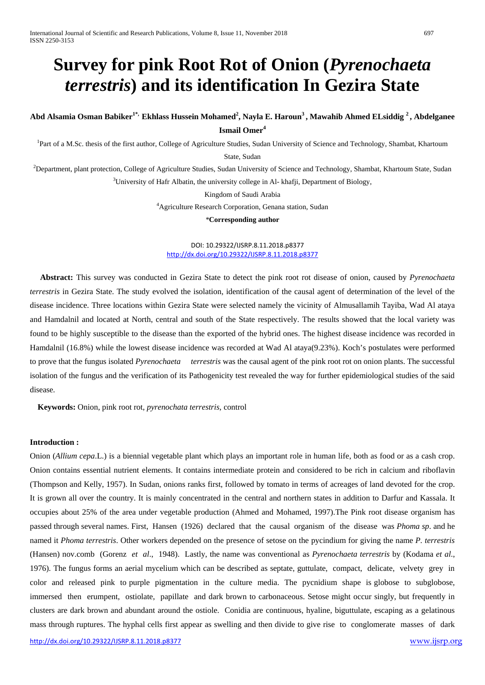# **Survey for pink Root Rot of Onion (***Pyrenochaeta terrestris***) and its identification In Gezira State**

# Abd Alsamia Osman Babiker<sup>1\*,</sup> Ekhlass Hussein Mohamed<sup>2</sup>, Nayla E. Haroun<sup>3</sup>, Mawahib Ahmed ELsiddig <sup>2</sup>, Abdelganee **Ismail Omer<sup>4</sup>**

<sup>1</sup>Part of a M.Sc. thesis of the first author, College of Agriculture Studies, Sudan University of Science and Technology, Shambat, Khartoum

State, Sudan

 $^{2}$ Department, plant protection, College of Agriculture Studies, Sudan University of Science and Technology, Shambat, Khartoum State, Sudan <sup>3</sup>University of Hafr Albatin, the university college in Al- khafji, Department of Biology,

Kingdom of Saudi Arabia

4 Agriculture Research Corporation, Genana station, Sudan

*\****Corresponding author**

DOI: 10.29322/IJSRP.8.11.2018.p8377 <http://dx.doi.org/10.29322/IJSRP.8.11.2018.p8377>

 **Abstract:** This survey was conducted in Gezira State to detect the pink root rot disease of onion, caused by *Pyrenochaeta terrestris* in Gezira State. The study evolved the isolation, identification of the causal agent of determination of the level of the disease incidence. Three locations within Gezira State were selected namely the vicinity of Almusallamih Tayiba, Wad Al ataya and Hamdalnil and located at North, central and south of the State respectively. The results showed that the local variety was found to be highly susceptible to the disease than the exported of the hybrid ones. The highest disease incidence was recorded in Hamdalnil (16.8%) while the lowest disease incidence was recorded at Wad Al ataya(9.23%). Koch's postulates were performed to prove that the fungus isolated *Pyrenochaeta terrestris* was the causal agent of the pink root rot on onion plants. The successful isolation of the fungus and the verification of its Pathogenicity test revealed the way for further epidemiological studies of the said disease.

 **Keywords:** Onion, pink root rot, *pyrenochata terrestris,* control

#### **Introduction :**

Onion (*Allium cepa*.L.) is a biennial vegetable plant which plays an important role in human life, both as food or as a cash crop. Onion contains essential nutrient elements. It contains intermediate protein and considered to be rich in calcium and riboflavin (Thompson and Kelly, 1957). In Sudan, onions ranks first, followed by tomato in terms of acreages of land devoted for the crop. It is grown all over the country. It is mainly concentrated in the central and northern states in addition to Darfur and Kassala. It occupies about 25% of the area under vegetable production (Ahmed and Mohamed, 1997).The Pink root disease organism has passed through several names. First, Hansen (1926) declared that the causal organism of the disease was *Phoma sp*. and he named it *Phoma terrestris*. Other workers depended on the presence of setose on the pycindium for giving the name *P. terrestris* (Hansen) nov.comb (Gorenz *et al*., 1948). Lastly, the name was conventional as *Pyrenochaeta terrestris* by (Kodama *et al*., 1976). The fungus forms an aerial mycelium which can be described as septate, guttulate, compact, delicate, velvety grey in color and released pink to purple pigmentation in the culture media. The pycnidium shape is globose to subglobose, immersed then erumpent, ostiolate, papillate and dark brown to carbonaceous. Setose might occur singly, but frequently in clusters are dark brown and abundant around the ostiole. Conidia are continuous, hyaline, biguttulate, escaping as a gelatinous mass through ruptures. The hyphal cells first appear as swelling and then divide to give rise to conglomerate masses of dark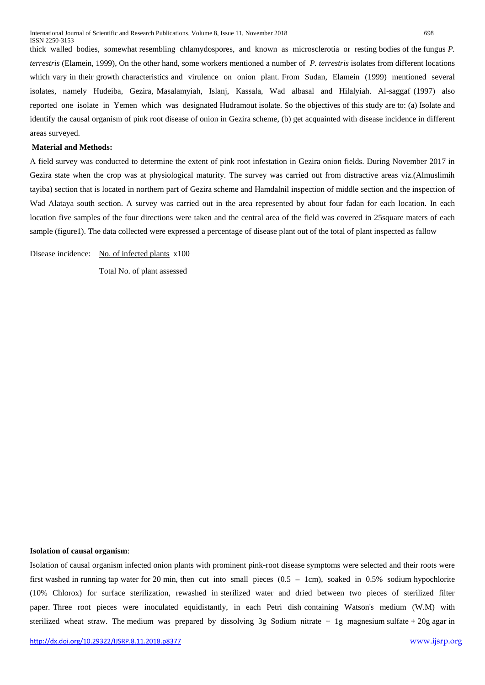thick walled bodies, somewhat resembling chlamydospores, and known as microsclerotia or resting bodies of the fungus *P. terrestris* (Elamein, 1999), On the other hand, some workers mentioned a number of *P. terrestris* isolates from different locations which vary in their growth characteristics and virulence on onion plant. From Sudan, Elamein (1999) mentioned several isolates, namely Hudeiba, Gezira, Masalamyiah, Islanj, Kassala, Wad albasal and Hilalyiah. Al-saggaf (1997) also reported one isolate in Yemen which was designated Hudramout isolate. So the objectives of this study are to: (a) Isolate and identify the causal organism of pink root disease of onion in Gezira scheme, (b) get acquainted with disease incidence in different areas surveyed.

#### **Material and Methods:**

A field survey was conducted to determine the extent of pink root infestation in Gezira onion fields. During November 2017 in Gezira state when the crop was at physiological maturity. The survey was carried out from distractive areas viz.(Almuslimih tayiba) section that is located in northern part of Gezira scheme and Hamdalnil inspection of middle section and the inspection of Wad Alataya south section. A survey was carried out in the area represented by about four fadan for each location. In each location five samples of the four directions were taken and the central area of the field was covered in 25square maters of each sample (figure1). The data collected were expressed a percentage of disease plant out of the total of plant inspected as fallow

Disease incidence: No. of infected plants x100

Total No. of plant assessed

#### **Isolation of causal organism**:

Isolation of causal organism infected onion plants with prominent pink-root disease symptoms were selected and their roots were first washed in running tap water for 20 min, then cut into small pieces  $(0.5 - 1 \text{cm})$ , soaked in 0.5% sodium hypochlorite (10% Chlorox) for surface sterilization, rewashed in sterilized water and dried between two pieces of sterilized filter paper. Three root pieces were inoculated equidistantly, in each Petri dish containing Watson's medium (W.M) with sterilized wheat straw. The medium was prepared by dissolving 3g Sodium nitrate + 1g magnesium sulfate + 20g agar in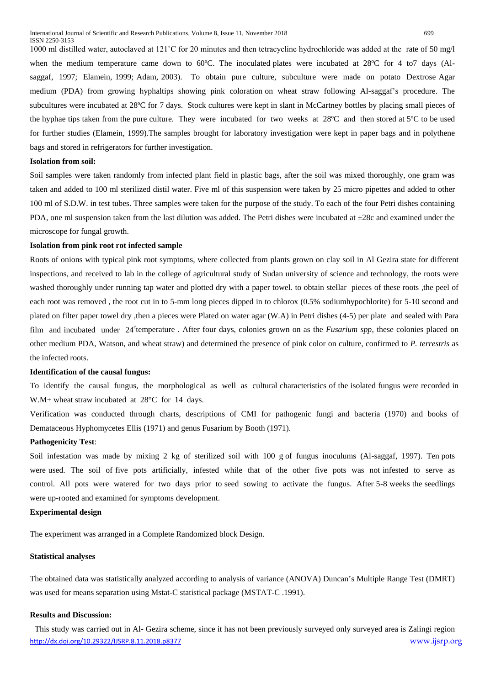1000 ml distilled water, autoclaved at 121˚C for 20 minutes and then tetracycline hydrochloride was added at the rate of 50 mg/l when the medium temperature came down to 60°C. The inoculated plates were incubated at 28°C for 4 to7 days (Alsaggaf, 1997; Elamein, 1999; Adam, 2003). To obtain pure culture, subculture were made on potato Dextrose Agar medium (PDA) from growing hyphaltips showing pink coloration on wheat straw following Al-saggaf's procedure. The subcultures were incubated at 28ºC for 7 days. Stock cultures were kept in slant in McCartney bottles by placing small pieces of the hyphae tips taken from the pure culture. They were incubated for two weeks at 28ºC and then stored at 5ºC to be used for further studies (Elamein, 1999).The samples brought for laboratory investigation were kept in paper bags and in polythene bags and stored in refrigerators for further investigation.

#### **Isolation from soil:**

Soil samples were taken randomly from infected plant field in plastic bags, after the soil was mixed thoroughly, one gram was taken and added to 100 ml sterilized distil water. Five ml of this suspension were taken by 25 micro pipettes and added to other 100 ml of S.D.W. in test tubes. Three samples were taken for the purpose of the study. To each of the four Petri dishes containing PDA, one ml suspension taken from the last dilution was added. The Petri dishes were incubated at ±28c and examined under the microscope for fungal growth.

#### **Isolation from pink root rot infected sample**

Roots of onions with typical pink root symptoms, where collected from plants grown on clay soil in Al Gezira state for different inspections, and received to lab in the college of agricultural study of Sudan university of science and technology, the roots were washed thoroughly under running tap water and plotted dry with a paper towel. to obtain stellar pieces of these roots ,the peel of each root was removed , the root cut in to 5-mm long pieces dipped in to chlorox (0.5% sodiumhypochlorite) for 5-10 second and plated on filter paper towel dry ,then a pieces were Plated on water agar (W.A) in Petri dishes (4-5) per plate and sealed with Para film and incubated under 24<sup>c</sup>temperature. After four days, colonies grown on as the *Fusarium spp*, these colonies placed on other medium PDA, Watson, and wheat straw) and determined the presence of pink color on culture, confirmed to *P. terrestris* as the infected roots.

#### **Identification of the causal fungus:**

To identify the causal fungus, the morphological as well as cultural characteristics of the isolated fungus were recorded in W.M+ wheat straw incubated at 28<sup>o</sup>C for 14 days.

Verification was conducted through charts, descriptions of CMI for pathogenic fungi and bacteria (1970) and books of Demataceous Hyphomycetes Ellis (1971) and genus Fusarium by Booth (1971).

#### **Pathogenicity Test**:

Soil infestation was made by mixing 2 kg of sterilized soil with 100 g of fungus inoculums (Al-saggaf, 1997). Ten pots were used. The soil of five pots artificially, infested while that of the other five pots was not infested to serve as control. All pots were watered for two days prior to seed sowing to activate the fungus. After 5-8 weeks the seedlings were up-rooted and examined for symptoms development.

## **Experimental design**

The experiment was arranged in a Complete Randomized block Design.

# **Statistical analyses**

The obtained data was statistically analyzed according to analysis of variance (ANOVA) Duncan's Multiple Range Test (DMRT) was used for means separation using Mstat-C statistical package (MSTAT-C .1991).

# **Results and Discussion:**

<http://dx.doi.org/10.29322/IJSRP.8.11.2018.p8377> [www.ijsrp.org](http://ijsrp.org/) This study was carried out in Al- Gezira scheme, since it has not been previously surveyed only surveyed area is Zalingi region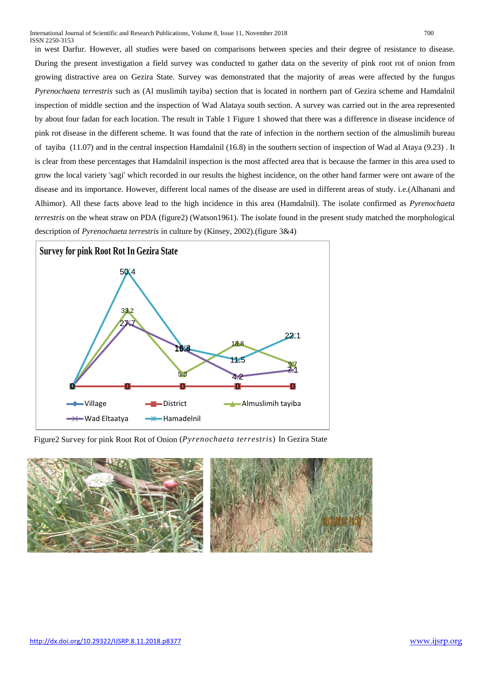in west Darfur. However, all studies were based on comparisons between species and their degree of resistance to disease. During the present investigation a field survey was conducted to gather data on the severity of pink root rot of onion from growing distractive area on Gezira State. Survey was demonstrated that the majority of areas were affected by the fungus *Pyrenochaeta terrestris* such as (Al muslimih tayiba) section that is located in northern part of Gezira scheme and Hamdalnil inspection of middle section and the inspection of Wad Alataya south section. A survey was carried out in the area represented by about four fadan for each location. The result in Table 1 Figure 1 showed that there was a difference in disease incidence of pink rot disease in the different scheme. It was found that the rate of infection in the northern section of the almuslimih bureau of tayiba (11.07) and in the central inspection Hamdalnil (16.8) in the southern section of inspection of Wad al Ataya (9.23) . It is clear from these percentages that Hamdalnil inspection is the most affected area that is because the farmer in this area used to grow the local variety 'sagi' which recorded in our results the highest incidence, on the other hand farmer were ont aware of the disease and its importance. However, different local names of the disease are used in different areas of study. i.e.(Alhanani and Alhimor). All these facts above lead to the high incidence in this area (Hamdalnil). The isolate confirmed as *Pyrenochaeta terrestris* on the wheat straw on PDA (figure2) (Watson1961). The isolate found in the present study matched the morphological description of *Pyrenochaeta terrestris* in culture by (Kinsey, 2002).(figure 3&4)



Figure2 Survey for pink Root Rot of Onion (*Pyrenochaeta terrestris*) In Gezira State

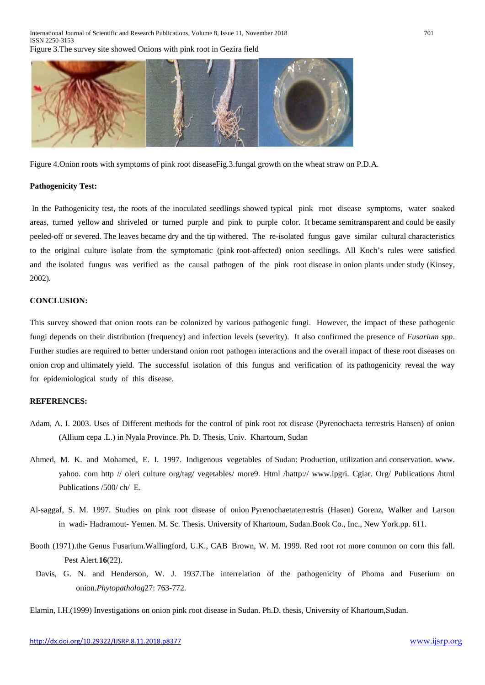

Figure 4.Onion roots with symptoms of pink root diseaseFig.3.fungal growth on the wheat straw on P.D.A.

#### **Pathogenicity Test:**

In the Pathogenicity test, the roots of the inoculated seedlings showed typical pink root disease symptoms, water soaked areas, turned yellow and shriveled or turned purple and pink to purple color. It became semitransparent and could be easily peeled-off or severed. The leaves became dry and the tip withered. The re-isolated fungus gave similar cultural characteristics to the original culture isolate from the symptomatic (pink root-affected) onion seedlings. All Koch's rules were satisfied and the isolated fungus was verified as the causal pathogen of the pink root disease in onion plants under study (Kinsey, 2002).

### **CONCLUSION:**

This survey showed that onion roots can be colonized by various pathogenic fungi. However, the impact of these pathogenic fungi depends on their distribution (frequency) and infection levels (severity). It also confirmed the presence of *Fusarium spp*. Further studies are required to better understand onion root pathogen interactions and the overall impact of these root diseases on onion crop and ultimately yield. The successful isolation of this fungus and verification of its pathogenicity reveal the way for epidemiological study of this disease.

#### **REFERENCES:**

- Adam, A. I. 2003. Uses of Different methods for the control of pink root rot disease (Pyrenochaeta terrestris Hansen) of onion (Allium cepa .L.) in Nyala Province. Ph. D. Thesis, Univ. Khartoum, Sudan
- Ahmed, M. K. and Mohamed, E. I. 1997. Indigenous vegetables of Sudan: Production, utilization and conservation. www. yahoo. com http // oleri culture org/tag/ vegetables/ more9. Html /hattp:// www.ipgri. Cgiar. Org/ Publications /html Publications /500/ ch/ E.
- Al-saggaf, S. M. 1997. Studies on pink root disease of onion Pyrenochaetaterrestris (Hasen) Gorenz, Walker and Larson in wadi- Hadramout- Yemen. M. Sc. Thesis. University of Khartoum, Sudan.Book Co., Inc., New York.pp. 611.
- Booth (1971).the Genus Fusarium.Wallingford, U.K., CAB Brown, W. M. 1999. Red root rot more common on corn this fall. Pest Alert.**16**(22).
- Davis, G. N. and Henderson, W. J. 1937.The interrelation of the pathogenicity of Phoma and Fuserium on onion.*Phytopatholog*27: 763-772.
- Elamin, I.H.(1999) Investigations on onion pink root disease in Sudan. Ph.D. thesis, University of Khartoum,Sudan.